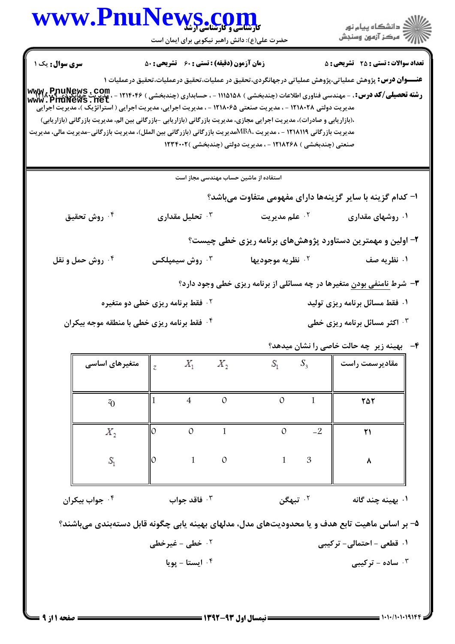

۰<sup>۴</sup> ایستا – یویا ساده - ترکیبی  $\cdot^{\mathsf{v}}$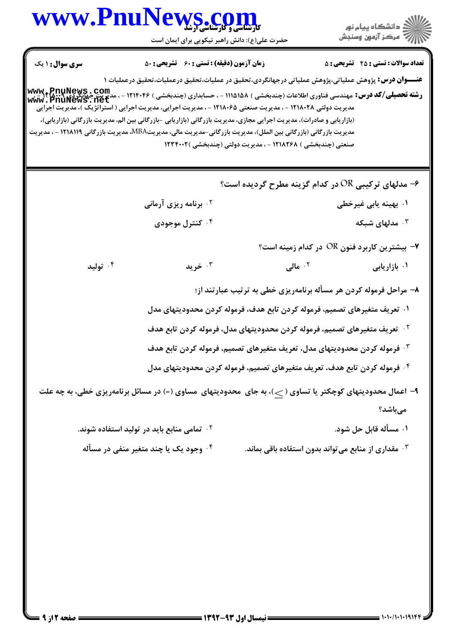# www.PnuNews.co

ازارات مرکز آزمون وسنجش حضرت علی(ع): دانش راهبر نیکویی برای ایمان است **تعداد سوالات : تستی : 25 - تشریحی : 5 سری سوال : ۱ یک زمان آزمون (دقیقه) : تستی : 60 تشریحی : 50** عنـــوان درس: پژوهش عملیاتی،پژوهش عملیاتی درجهانگردی،تحقیق در عملیات،تحقیق درعملیات،تحقیق درعملیات ۱ **رشته تحصیلی/کد درس:** مهندسی فناوری اطلاعات (چندبخشی ) ۱۱۵۱۵۸ - ، حسابداری (چندبخشی ) ۱۲۱۴۰۴۶ - ، مدیری<u>ت جها</u>نگردی **۲:۰۰۳ ا**۲-۰<br>**رشته تحصیلی/کد درس:** مهندسی فناوری اطلاعات (چندبخشی ) ۱۱۵۱۵۸ - ، حسابداری (چندبخشی ) ۱۲۱۴۰۴ www.PnuNews.net مدیریت دولتی ۱۲۱۸۰۲۸ - ، مدیریت صنعتی ۱۲۱۸۰۶۵ - ، مدیریت اجرایی، مدیریت اجرایی ( استراتژیک )، مدیریت اجرایی (بازاریابی و صادرات)، مدیریت اجرایی مجازی، مدیریت بازرگانی (بازاریابی -بازرگانی بین الم، مدیریت بازرگانی (بازاریابی)، مدیریت بازرگانی (بازرگانی بین الملل)، مدیریت بازرگانی-مدیریت مالی، مدیریتMBA، مدیریت بازرگانی ۱۲۱۸۱۱۹ - ، مدیریت صنعتی (چندبخشی ) ۱۲۱۸۲۶۸ - ، مدیریت دولتی (چندبخشی )۲۳۴۰۰۲ ۶- مدلهای ترکیبی OR در کدام گزینه مطرح گردیده است؟ <sup>۲.</sup> برنامه ریزی آرمانی ۰۱ بهينه يابي غيرخطي ۰۴ کنترل موجودی مدلهای شبکه  $\cdot^{\mathsf{r}}$ ۷– بیشترین کاربرد فنون OR در کدام زمینه است؟ ۰۴ تولید ۲. مالي  $\sim$  خريد  $\cdot$ ۰۱ بازاریابی ۸– مراحل فرموله کردن هر مسأله برنامهریزی خطی به ترتیب عبارتند از؛ ۰۱ تعریف متغیرهای تصمیم، فرموله کردن تابع هدف، فرموله کردن محدودیتهای مدل <sup>٢ .</sup> تعريف متغيرهاي تصميم، فرموله كردن محدوديتهاي مدل، فرموله كردن تابع هدف <sup>٣ .</sup> فرموله كردن محدوديتهاى مدل، تعريف متغيرهاى تصميم، فرموله كردن تابع هدف <sup>۰۴</sup> فرموله کردن تابع هدف، تعریف متغیرهای تصمیم، فرموله کردن محدودیتهای مدل ۹- اعمال محدودیتهای کوچکتر یا تساوی ( ح)، به جای ًمحدودیتهای مساوی (=) در مسائل برنامهریزی خطی، به چه علت

- مے باشد؟
	- ۰۱ مسأله قابل حل شود. **گ تمامی منابع باید در تولید استفاده شوند.** 
		- ۰۴ وجود یک یا چند متغیر منفی در مسأله ۰<sup>۳</sup> مقداری از منابع می تواند بدون استفاده باقی بماند.

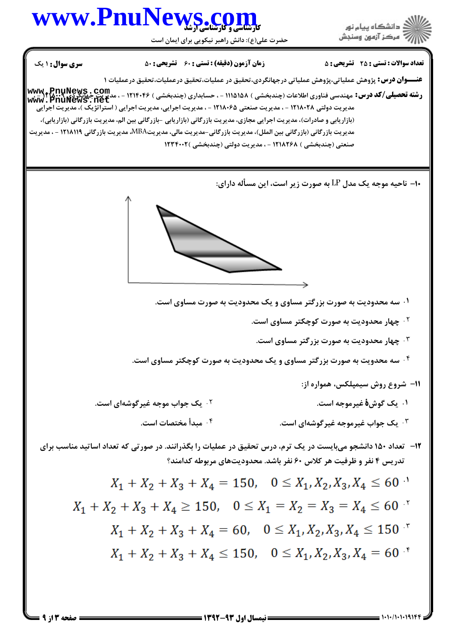

= 1+1+/1+1+19141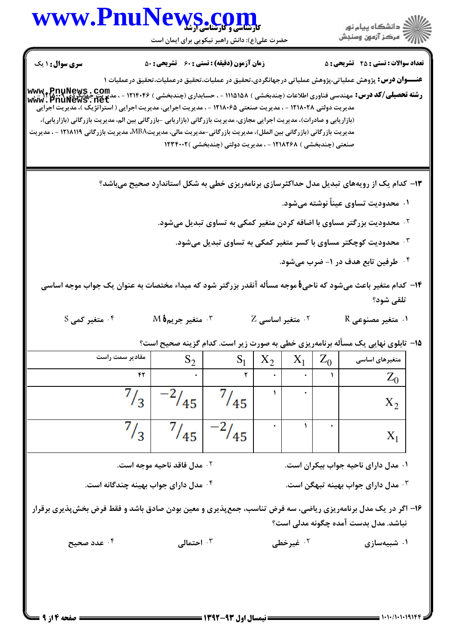حضرت علی(ع): دانش راهبر نیکویی برای ایمان است

| <b>سری سوال : ۱ یک</b>                                                                                                                                                                                                                    | <b>زمان آزمون (دقیقه) : تستی : 60 ٪ تشریحی : 50</b>                                                   |                                                                                                         |  |                   |  | <b>تعداد سوالات : تستی : 25 ۔ تشریحی : 5</b>                                                                 |
|-------------------------------------------------------------------------------------------------------------------------------------------------------------------------------------------------------------------------------------------|-------------------------------------------------------------------------------------------------------|---------------------------------------------------------------------------------------------------------|--|-------------------|--|--------------------------------------------------------------------------------------------------------------|
|                                                                                                                                                                                                                                           |                                                                                                       |                                                                                                         |  |                   |  | <b>عنــــوان درس:</b> پژوهش عملیاتی،پژوهش عملیاتی درجهانگردی،تحقیق در عملیات،تحقیق درعملیات،تحقیق درعملیات ۱ |
| <b>رشته تحصیلی/کد درس: مهندسی فناوری اطلاعات (چندبخشی ) ۱۱۱۵۱۵۸ - ، حسابداری (چندبخشی ) ۱۲۱۴۰۴۶ - ، مدیریت جهانگردی<br/>www . PnuNews . net</b>                                                                                           |                                                                                                       |                                                                                                         |  |                   |  |                                                                                                              |
| مدیریت دولتی ۱۲۱۸۰۲۸ - ، مدیریت صنعتی ۱۲۱۸۰۶۵ - ، مدیریت اجرایی، مدیریت اجرایی ( استراتژیک )، مدیریت اجرایی                                                                                                                               |                                                                                                       |                                                                                                         |  |                   |  |                                                                                                              |
| (بازاریابی و صادرات)، مدیریت اجرایی مجازی، مدیریت بازرگانی (بازاریابی -بازرگانی بین الم، مدیریت بازرگانی (بازاریابی)،<br>مدیریت بازرگانی (بازرگانی بین الملل)، مدیریت بازرگانی-مدیریت مالی، مدیریتMBA، مدیریت بازرگانی ۱۲۱۸۱۱۹ - ، مدیریت |                                                                                                       |                                                                                                         |  |                   |  |                                                                                                              |
|                                                                                                                                                                                                                                           |                                                                                                       | صنعتی (چندبخشی ) ۱۲۱۸۲۶۸ - ، مدیریت دولتی (چندبخشی )۱۲۳۴۰۰۲                                             |  |                   |  |                                                                                                              |
|                                                                                                                                                                                                                                           |                                                                                                       |                                                                                                         |  |                   |  |                                                                                                              |
|                                                                                                                                                                                                                                           |                                                                                                       |                                                                                                         |  |                   |  | ۱۳- کدام یک از رویههای تبدیل مدل حداکثرسازی برنامهریزی خطی به شکل استاندارد صحیح میباشد؟                     |
|                                                                                                                                                                                                                                           |                                                                                                       |                                                                                                         |  |                   |  | ۰۱ محدودیت تساوی عیناً نوشته میشود.                                                                          |
|                                                                                                                                                                                                                                           |                                                                                                       |                                                                                                         |  |                   |  | <sup>۰۲</sup> محدودیت بزرگتر مساوی با اضافه کردن متغیر کمکی به تساوی تبدیل میشود.                            |
|                                                                                                                                                                                                                                           |                                                                                                       |                                                                                                         |  |                   |  | ه محدودیت کوچکتر مساوی با کسر متغیر کمکی به تساوی تبدیل میشود. $\cdot$                                       |
|                                                                                                                                                                                                                                           |                                                                                                       |                                                                                                         |  |                   |  | ۰۴ طرفین تابع هدف در ۱- ضرب میشود.                                                                           |
| ۱۴– کدام متغیر باعث میشود که ناحیهٔ موجه مسأله آنقدر بزرگتر شود که مبداء مختصات به عنوان یک جواب موجه اساسی                                                                                                                               |                                                                                                       |                                                                                                         |  |                   |  |                                                                                                              |
|                                                                                                                                                                                                                                           |                                                                                                       |                                                                                                         |  |                   |  | تلقى شود؟                                                                                                    |
| $S$ متغیر کمی $\cdot^{\mathfrak k}$                                                                                                                                                                                                       | $\mathbf M$ هتغير جريم 16 $\cdot^{\mathbf r}$<br>$Z$ متغیر اساسی $^{\mathsf{Y}}$<br>۰۱ متغیر مصنوعی R |                                                                                                         |  |                   |  |                                                                                                              |
|                                                                                                                                                                                                                                           |                                                                                                       |                                                                                                         |  |                   |  | ۱۵– تابلوی نهایی یک مسأله برنامهریزی خطی به صورت زیر است. کدام گزینه صحیح است؟                               |
| مقادیر سمت راست                                                                                                                                                                                                                           | $S_2$                                                                                                 | $S_1 \mid X_2 \mid X_1 \mid Z_0 \mid$                                                                   |  |                   |  | متغیرهای اساسی                                                                                               |
| ۴۲                                                                                                                                                                                                                                        |                                                                                                       | $\mathbf{r}$ $\mathbf{r}$ $\mathbf{r}$ $\mathbf{r}$ $\mathbf{r}$ $\mathbf{r}$ $\mathbf{r}$ $\mathbf{r}$ |  |                   |  | $Z_0$                                                                                                        |
| $^{7}/_3$                                                                                                                                                                                                                                 | $^{-2}/_{45}$                                                                                         | $^{7}/_{45}$                                                                                            |  |                   |  | $X_2$                                                                                                        |
| $^{7}/_3$                                                                                                                                                                                                                                 |                                                                                                       | $\frac{7}{45}$ $\frac{-2}{45}$                                                                          |  | ١.                |  | $X_1$                                                                                                        |
| ۰۱ مدل دارای ناحیه جواب بیکران است.<br>۰ <sup>۲</sup> مدل فاقد ناحیه موجه است.                                                                                                                                                            |                                                                                                       |                                                                                                         |  |                   |  |                                                                                                              |
| ۰۴ مدل دارای جواب بهینه چندگانه است.<br>۰ <sup>۳</sup> مدل دارای جواب بهینه تبهگن است.                                                                                                                                                    |                                                                                                       |                                                                                                         |  |                   |  |                                                                                                              |
| ۱۶– اگر در یک مدل برنامهریزی ریاضی، سه فرض تناسب، جمعپذیری و معین بودن صادق باشد و فقط فرض بخشپذیری برقرار<br>نباشد. مدل بدست آمده چگونه مدلی است؟                                                                                        |                                                                                                       |                                                                                                         |  |                   |  |                                                                                                              |
| ۰۴ عدد صحیح                                                                                                                                                                                                                               | احتمالی $\cdot$                                                                                       |                                                                                                         |  | ۰۲ غیرخط <i>ی</i> |  | ۰۱ شبیهسازی                                                                                                  |
|                                                                                                                                                                                                                                           |                                                                                                       |                                                                                                         |  |                   |  |                                                                                                              |

ے<br>جگہلات دانشگاہ پیام نور<br>جگہلات مرکز آنمون وسنجش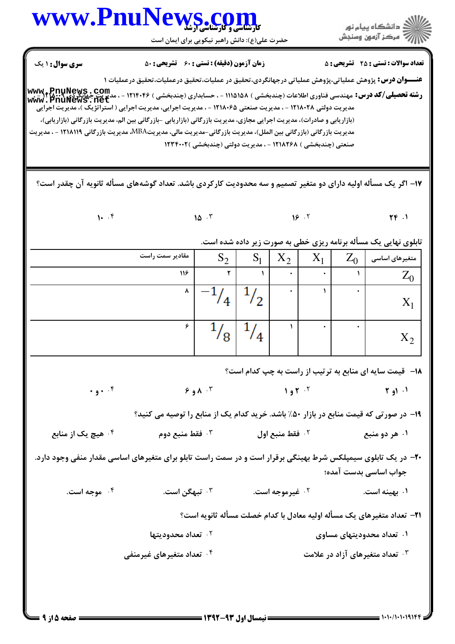## www.PnuNews.co

حضرت علی(ع): دانش راهبر نیکویی برای ایمان است

**تعداد سوالات : تستي : 25 - تشريحي : 5** 

اران<br>است دانشگاه پیام نور<br>است

**زمان آزمون (دقیقه) : تستی : 60 تشریحی : 50** 

**سری سوال : ۱ یک** 

عنـــوان درس: پژوهش عملیاتی،پژوهش عملیاتی درجهانگردی،تحقیق در عملیات،تحقیق درعملیات،تحقیق درعملیات ۱

**رشته تحصیلی/کد درس:** مهندسی فناوری اطلاعات (چندبخشی ) ۱۱۵۱۵۸ - ، حسابداری (چندبخشی ) ۱۲۱۴۰۴۶ - ، مدیریت\_جهانگردی ۲۰۰۹/۱۳<br>ر**شته تحصیلی/کد درس:** مهندسی فناوری اطلاعات (چندبخشی ) ۱۱۵۱۵۸ - ، حسابداری (چندبخشی ) ۱۲۱۴۰۴۶ - ، م www.PnuNews.net مدیریت دولتی ۱۲۱۸۰۲۸ - ، مدیریت صنعتی ۱۲۱۸۰۶۵ - ، مدیریت اجرایی، مدیریت اجرایی ( استراتژیک )، مدیریت اجرایی (بازاریابی و صادرات)، مدیریت اجرایی مجازی، مدیریت بازرگانی (بازاریابی -بازرگانی بین الم، مدیریت بازرگانی (بازاریابی)، مدیریت بازرگانی (بازرگانی بین الملل)، مدیریت بازرگانی-مدیریت مالی، مدیریتMBA مدیریت بازرگانی ۱۲۱۸۱۱۹ - ، مدیریت صنعتی (چندبخشی ) ۱۲۱۸۲۶۸ - ، مدیریت دولتی (چندبخشی )۲۳۴۰۰۲

۱۷– اگر یک مسأله اولیه دارای دو متغیر تصمیم و سه محدودیت کارکردی باشد. تعداد گوشههای مسأله ثانویه آن چقدر است؟

 $19.7$  $10^{-17}$  $\Upsilon \Upsilon$ .

 $1.7$ 

تابلوی نهایی یک مسأله برنامه ریزی خطی به صورت زیر داده شده است.

| مقادیر سمت راست | $\mathbf{C}$<br>$\mathbf{p}_2$ | S <sub>1</sub> | $X_2$ | $\mathbf{v}$<br>$\Lambda$ 1 | $Z_0$ | متغیرهای اساسی |
|-----------------|--------------------------------|----------------|-------|-----------------------------|-------|----------------|
| 116             |                                |                | ۰     | ٠                           |       | ப              |
| $\lambda$       |                                | っ              | ٠     |                             |       | $\Lambda$      |
| $\epsilon$      | 8                              | 4              |       | ٠                           |       | $\Lambda$      |

**۱۸**- قیمت سایه ای منابع به ترتیب از راست به چپ کدام است؟

 $+$  q +  $\cdot$   $\uparrow$  $9.91.7$  $1.97 \cdot 7$  $\uparrow$  a)  $\uparrow$ 

۱۹- در صورتی که قیمت منابع در بازار ۵۰٪ باشد. خرید کدام یک از منابع را توصیه می کنید؟

<sup>7.</sup> فقط منبع اول ۰<sup>۴</sup> هیچ یک از منابع ۰<sup>۳</sup> فقط منبع دوم ۰۱ هر دو منبع

+۲- در یک تابلوی سیمپلکس شرط بهینگی برقرار است و در سمت راست تابلو برای متغیرهای اساسی مقدار منفی وجود دارد. جواب اساسی بدست آمده؛

۰۳ تیهگن است. ۰۴ موجه است. ۰۲ غیرموجه است. ۰۱ بهینه است.

**۲۱**- تعداد متغیرهای یک مسأله اولیه معادل با کدام خصلت مسأله ثانویه است؟

- <sup>7</sup> . تعداد محدوديتها ۰۱ تعداد محدودیتهای مساوی
- ۰<sup>۳</sup> تعداد متغیرهای آزاد در علامت ۰۴ تعداد متغیرهای غیرمنفی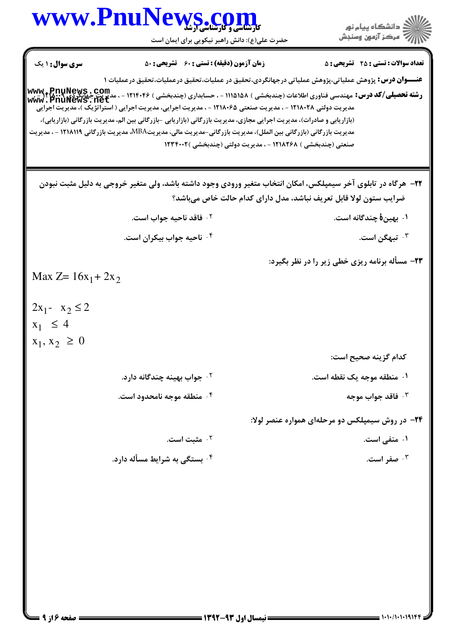|                                                                                  | www.PnuNews.com                                                                                                                                                                                                                                                                                                                                                                                                                                                                                                                                                                                                    |                                                             | ر<br>دانشڪاه پيام نور)<br>اڳ مرڪز آزمون وسنڊش                     |
|----------------------------------------------------------------------------------|--------------------------------------------------------------------------------------------------------------------------------------------------------------------------------------------------------------------------------------------------------------------------------------------------------------------------------------------------------------------------------------------------------------------------------------------------------------------------------------------------------------------------------------------------------------------------------------------------------------------|-------------------------------------------------------------|-------------------------------------------------------------------|
|                                                                                  | حضرت علی(ع): دانش راهبر نیکویی برای ایمان است                                                                                                                                                                                                                                                                                                                                                                                                                                                                                                                                                                      |                                                             |                                                                   |
| <b>سری سوال : ۱ یک</b>                                                           | <b>زمان آزمون (دقیقه) : تستی : 60 ٪ تشریحی : 50</b>                                                                                                                                                                                                                                                                                                                                                                                                                                                                                                                                                                |                                                             | <b>تعداد سوالات : تستی : 25 ۔ تشریحی : 5</b>                      |
|                                                                                  | <b>عنــــوان درس:</b> پژوهش عملیاتی،پژوهش عملیاتی درجهانگردی،تحقیق در عملیات،تحقیق درعملیات،تحقیق درعملیات ۱<br>رشته تحصیلی/کد درس: مهندسی فناوری اطلاعات (چندبخشی ) ۱۱۵۱۵۸ - ، حسابداری (چندبخشی ) ۱۲۱۴۰۴۶ - ، مدیریت چهانگردی<br>www . PnuNews . net<br>مدیریت دولتی ۱۲۱۸۰۲۸ - ، مدیریت صنعتی ۱۲۱۸۰۶۵ - ، مدیریت اجرایی، مدیریت اجرایی ( استراتژیک )، مدیریت اجرایی<br>(بازاریابی و صادرات)، مدیریت اجرایی مجازی، مدیریت بازرگانی (بازاریابی -بازرگانی بین الم، مدیریت بازرگانی (بازاریابی)،<br>مدیریت بازرگانی (بازرگانی بین الملل)، مدیریت بازرگانی-مدیریت مالی، مدیریتMBA، مدیریت بازرگانی ۱۲۱۸۱۱۹ - ، مدیریت | صنعتی (چندبخشی ) ۱۲۱۸۲۶۸ - ، مدیریت دولتی (چندبخشی )۱۲۳۴۰۰۲ |                                                                   |
|                                                                                  | ۲۲-  هرگاه در تابلوی آخر سیمپلکس، امکان انتخاب متغیر ورودی وجود داشته باشد، ولی متغیر خروجی به دلیل مثبت نبودن                                                                                                                                                                                                                                                                                                                                                                                                                                                                                                     |                                                             | ضرایب ستون لولا قابل تعریف نباشد، مدل دارای کدام حالت خاص میباشد؟ |
|                                                                                  | ۰ <sup>۲</sup> فاقد ناحیه جواب است.                                                                                                                                                                                                                                                                                                                                                                                                                                                                                                                                                                                |                                                             | ۰۱ بهین <b>هٔ</b> چندگانه است.                                    |
|                                                                                  | ۰۴ ناحیه جواب بیکران است.                                                                                                                                                                                                                                                                                                                                                                                                                                                                                                                                                                                          |                                                             | ۰ <sup>۳</sup> تبهگن است.                                         |
| Max $Z = 16x_1 + 2x_2$<br>$2x_1 - x_2 \le 2$<br>$x_1 \leq 4$<br>$x_1, x_2 \ge 0$ |                                                                                                                                                                                                                                                                                                                                                                                                                                                                                                                                                                                                                    |                                                             | ۲۳- مسأله برنامه ریزی خطی زیر را در نظر بگیرد:                    |
|                                                                                  |                                                                                                                                                                                                                                                                                                                                                                                                                                                                                                                                                                                                                    |                                                             | كدام گزينه صحيح است:                                              |
|                                                                                  | ۰ <sup>۲</sup> جواب بهینه چندگانه دارد.                                                                                                                                                                                                                                                                                                                                                                                                                                                                                                                                                                            |                                                             | ۰۱ منطقه موجه یک نقطه است.                                        |
|                                                                                  | ۰۴ منطقه موجه نامحدود است.                                                                                                                                                                                                                                                                                                                                                                                                                                                                                                                                                                                         |                                                             | ا فاقد جواب موجه $\cdot$                                          |
|                                                                                  |                                                                                                                                                                                                                                                                                                                                                                                                                                                                                                                                                                                                                    |                                                             | ۲۴- در روش سیمپلکس دو مرحلهای همواره عنصر لولا:                   |
|                                                                                  | ۰۲ مثبت است.                                                                                                                                                                                                                                                                                                                                                                                                                                                                                                                                                                                                       |                                                             | ۰۱ منفی است.                                                      |
|                                                                                  | <b>۰</b> بستگی به شرایط مسأله دارد.                                                                                                                                                                                                                                                                                                                                                                                                                                                                                                                                                                                |                                                             | ۰۳ صفر است.                                                       |
|                                                                                  |                                                                                                                                                                                                                                                                                                                                                                                                                                                                                                                                                                                                                    |                                                             |                                                                   |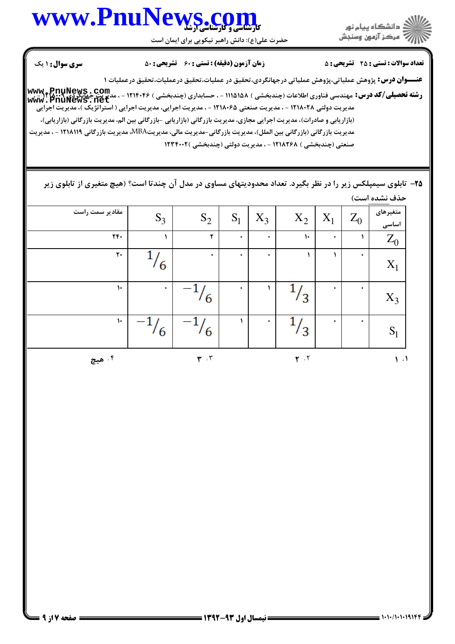



حضرت علي(ع): دانش راهبر نيكويي براي ايمان است

نعداد سوالات : تستي : 25 تشريحي : 58 زمان آزمون (دقيقه) : تستي : 60 تشريحي : 80 مسرى سوال : 1 يك

**عنـــوان درس:** پژوهش عملیاتی،پژوهش عملیاتی درجهانگردی،تحقیق در عملیات،تحقیق درعملیات،تحقیق درعملیات ۱

ر**شته تحصیلی/کد درس:** مهندسی فناوری اطلاعات (چندبخشی ) ۱۱۵۱۵۸ - ، حسابداری (چندبخشی ) ۱۲۱۴۰۴۶ - ، مدیریت جهانگرد**ی: ۱۲۰۰۰**<br>ر**شته تحصیلی/کد درس:** مهندسی فناوری اطلاعات (چندبخشی ) ۱۱۵۱۵۸۸ - ، حسابداری (چندبخشی ) ۱۲۱۴۰۶ - ، مدیریت دولتی ۱۲۱۸۰۲۸ - ، مدیریت صنعتی ۱۲۱۸۰۶۵ - ، مدیریت اجرایی، مدیریت اجرایی ( استراتژیک)، مدیریت اجرایی (بازاریابی و صادرات)، مدیریت اجرایی مجازی، مدیریت بازرگانی (بازاریابی -بازرگانی بین الم، مدیریت بازرگانی (بازاریابی)، مدیریت بازرگانی (بازرگانی بین الملل)، مدیریت بازرگانی-مدیریت مالی، مدیریتMBA، مدیریت بازرگانی ۱۲۱۸۱۱۹ - ، مدیریت صنعتی (چندبخشی ) ۱۲۱۸۲۶۸ - ، مدیریت دولتی (چندبخشی )۱۲۳۴۰۰۲ **[www.PnuNews.net](http://pnunews.net)**

۲۵– تابلوی سیمپلکس زیر را در نظر بگیرد. تعداد محدودیتهای مساوی در مدل آن چندتا است؟ (هیچ متغیری از تابلوی زیر حذف نشده است)

| مقادیر سمت راست | $S_3$ | $\mathbf{S}_2$                          | $S_1$     | $X_3$     | $\mathbf{X}_2$ | $\mathbf{X}_1$ | $Z_0$     | متغیرهای<br>اساسی |
|-----------------|-------|-----------------------------------------|-----------|-----------|----------------|----------------|-----------|-------------------|
| $\mathbf{r}$ .  |       | ٢                                       | $\bullet$ | $\bullet$ | $\mathcal{L}$  | $\bullet$      |           | $\mathbf{Z}_0$    |
| $\mathbf{r}$ .  | 6     | $\bullet$                               | $\bullet$ | $\bullet$ |                |                | $\bullet$ | $X_1$             |
| $\mathcal{V}$   | ٠     | 6                                       | ۰         |           | ′3             | ۰              | ۰         | $X_3$             |
| $\mathcal{L}$   | 16    | 6                                       |           | ۰         | 3              | ۰              | $\bullet$ | $S_1$             |
| ۰۴ هيچ          |       | $\pmb{\mathsf{r}}$ . $\pmb{\mathsf{r}}$ |           |           | $\mathbf{r}$ . |                |           | $\mathbf{1}$ .    |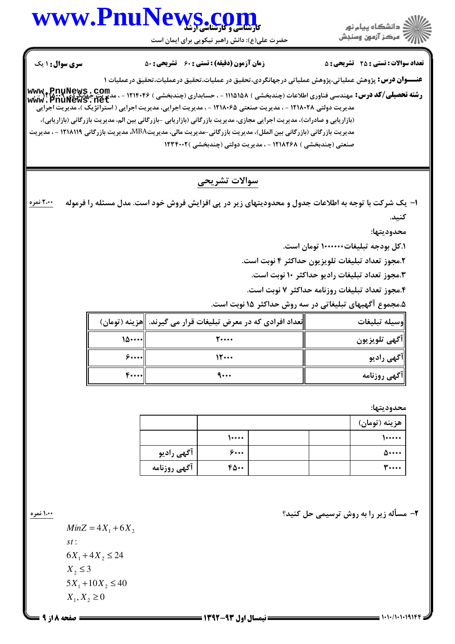### كارشناسي و كارشناسي ارشد **[www.PnuNews.com](http://www.PnuNews.com)**

حضرت علي(ع): دانش راهبر نيكويي براي ايمان است



نعداد سوالات : تستي : 25 تشريحي : 58 زمان آزمون (دقيقه) : تستي : 60 تشريحي : 80 مسرى سوال : 1 يك

**عنـــوان درس:** پژوهش عملیاتی،پژوهش عملیاتی درجهانگردی،تحقیق در عملیات،تحقیق درعملیات،تحقیق درعملیات ۱ ر**شته تحصیلی/کد درس:** مهندسی فناوری اطلاعات (چندبخشی ) ۱۱۵۱۵۸ - ، حسابداری (چندبخشی ) ۱۲۱۴۰۴۶ - ، مدیریت جهانگرد**ی: ۱۲۰۰۰**<br>ر**شته تحصیلی/کد درس:** مهندسی فناوری اطلاعات (چندبخشی ) ۱۱۵۱۵۸۸ - ، حسابداری (چندبخشی ) ۱۲۱۴۰۶ - ،

مدیریت دولتی ۱۲۱۸۰۲۸ - ، مدیریت صنعتی ۱۲۱۸۰۶۵ - ، مدیریت اجرایی، مدیریت اجرایی ( استراتژیک )، مدیریت اجرایی (بازاریابی و صادرات)، مدیریت اجرایی مجازی، مدیریت بازرگانی (بازاریابی -بازرگانی بین الم، مدیریت بازرگانی (بازاریابی)، مدیریت بازرگانی (بازرگانی بین الملل)، مدیریت بازرگانی-مدیریت مالی، مدیریتMBA، مدیریت بازرگانی ۱۲۱۸۱۱۹ - ، مدیریت صنعتی (چندبخشی ) ۱۲۱۸۲۶۸ - ، مدیریت دولتی (چندبخشی )۲۳۴۰۰۲ **[www.PnuNews.net](http://pnunews.net)**

#### سوالات تشريحي

ا– یک شرکت با توجه به اطلاعات جدول و محدودیتهای زیر در پی افزایش فروش خود است. مدل مسئله را فرموله كنىد. ۲،۰۰ نمره

محدود بتها:

۱.کل بودجه تبلیغات۱۰۰۰۰۰۰۰ تومان است.

۲.مجوز تعداد تبليغات تلويزيون حداكثر ۴ نوبت است.

۰.هجوز تعداد تبليغات راديو حداكثر ۱۰ نوبت است.

۴.مجوز تعداد تبليغات روزنامه حداكثر ۷ نوبت است.

۵.مجموع آگهیهای تبلیغاتی در سه روش حداکثر ۱۵ نوبت است.

|                    | تعداد افرادی که در معرض تبلیغات قرار می گیرند.   هزینه (تومان) | وسيله تبليغات |
|--------------------|----------------------------------------------------------------|---------------|
| $\lambda \cdots$ l | 20000                                                          | آگهي تلويزيون |
| 5                  | 15                                                             | آگهی رادیو    |
| $F \cdots$         | 4                                                              | آگهی روزنامه  |

محدوديتها:

|              |       |  | هزينه (تومان) |
|--------------|-------|--|---------------|
|              | 10000 |  | 100000        |
| آگهی رادیو   | ۶۰۰۰  |  | 500000        |
| آگهي روزنامه | 40.0  |  | <b>۳</b>      |

L42w G S O B O?v;5 V \*,// -2

 $X_1, X_2 \ge 0$  $5X_1 + 10X_2 \le 40$  $X_2 \leq 3$  $6X_1 + 4X_2 \le 24$ : *st*  $MinZ = 4X_1 + 6X_2$